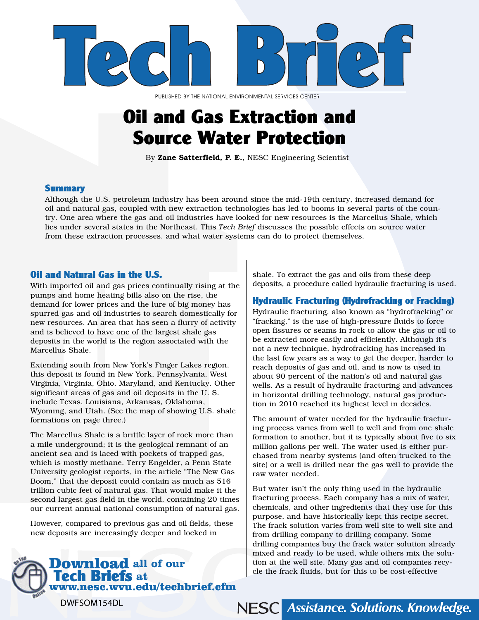

PUBLISHED BY THE NATIONAL ENVIRONMENTAL SERVICES CENTER

## Oil and Gas Extraction and Source Water Protection

By Zane Satterfield, P. E., NESC Engineering Scientist

#### **Summary**

Although the U.S. petroleum industry has been around since the mid-19th century, increased demand for oil and natural gas, coupled with new extraction technologies has led to booms in several parts of the country. One area where the gas and oil industries have looked for new resources is the Marcellus Shale, which lies under several states in the Northeast. This *Tech Brief* discusses the possible effects on source water from these extraction processes, and what water systems can do to protect themselves.

#### Oil and Natural Gas in the U.S.

With imported oil and gas prices continually rising at the pumps and home heating bills also on the rise, the demand for lower prices and the lure of big money has spurred gas and oil industries to search domestically for new resources. An area that has seen a flurry of activity and is believed to have one of the largest shale gas deposits in the world is the region associated with the Marcellus Shale.

Extending south from New York's Finger Lakes region, this deposit is found in New York, Pennsylvania, West Virginia, Virginia, Ohio, Maryland, and Kentucky. Other significant areas of gas and oil deposits in the U. S. include Texas, Louisiana, Arkansas, Oklahoma, Wyoming, and Utah. (See the map of showing U.S. shale formations on page three.)

The Marcellus Shale is a brittle layer of rock more than a mile underground; it is the geological remnant of an ancient sea and is laced with pockets of trapped gas, which is mostly methane. Terry Engelder, a Penn State University geologist reports, in the article "The New Gas Boom," that the deposit could contain as much as 516 trillion cubic feet of natural gas. That would make it the second largest gas field in the world, containing 20 times our current annual national consumption of natural gas.

However, compared to previous gas and oil fields, these new deposits are increasingly deeper and locked in



shale. To extract the gas and oils from these deep deposits, a procedure called hydraulic fracturing is used.

#### Hydraulic Fracturing (Hydrofracking or Fracking)

Hydraulic fracturing, also known as "hydrofracking" or "fracking," is the use of high-pressure fluids to force open fissures or seams in rock to allow the gas or oil to be extracted more easily and efficiently. Although it's not a new technique, hydrofracking has increased in the last few years as a way to get the deeper, harder to reach deposits of gas and oil, and is now is used in about 90 percent of the nation's oil and natural gas wells. As a result of hydraulic fracturing and advances in horizontal drilling technology, natural gas production in 2010 reached its highest level in decades.

The amount of water needed for the hydraulic fracturing process varies from well to well and from one shale formation to another, but it is typically about five to six million gallons per well. The water used is either purchased from nearby systems (and often trucked to the site) or a well is drilled near the gas well to provide the raw water needed.

But water isn't the only thing used in the hydraulic fracturing process. Each company has a mix of water, chemicals, and other ingredients that they use for this purpose, and have historically kept this recipe secret. The frack solution varies from well site to well site and from drilling company to drilling company. Some drilling companies buy the frack water solution already mixed and ready to be used, while others mix the solution at the well site. Many gas and oil companies recycle the frack fluids, but for this to be cost-effective

NESC Assistance. Solutions. Knowledge.

DWFSOM154DL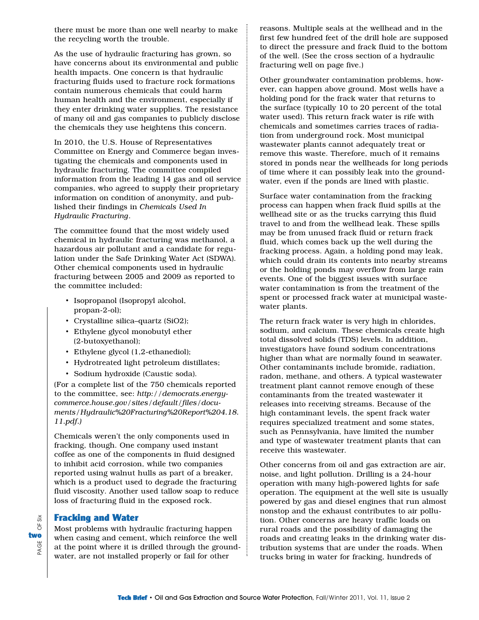there must be more than one well nearby to make the recycling worth the trouble.

As the use of hydraulic fracturing has grown, so have concerns about its environmental and public health impacts. One concern is that hydraulic fracturing fluids used to fracture rock formations contain numerous chemicals that could harm human health and the environment, especially if they enter drinking water supplies. The resistance of many oil and gas companies to publicly disclose the chemicals they use heightens this concern.

In 2010, the U.S. House of Representatives Committee on Energy and Commerce began investigating the chemicals and components used in hydraulic fracturing. The committee compiled information from the leading 14 gas and oil service companies, who agreed to supply their proprietary information on condition of anonymity, and published their findings in *Chemicals Used In Hydraulic Fracturing*.

The committee found that the most widely used chemical in hydraulic fracturing was methanol, a hazardous air pollutant and a candidate for regulation under the Safe Drinking Water Act (SDWA). Other chemical components used in hydraulic fracturing between 2005 and 2009 as reported to the committee included:

- Isopropanol (Isopropyl alcohol, propan-2-ol);
- Crystalline silica–quartz (SiO2);
- Ethylene glycol monobutyl ether (2-butoxyethanol);
- Ethylene glycol (1,2-ethanediol);
- Hydrotreated light petroleum distillates;
- Sodium hydroxide (Caustic soda).

(For a complete list of the 750 chemicals reported to the committee, see: *http://democrats.energycommerce.house.gov/sites/default/files/documents/Hydraulic%20Fracturing%20Report%204.18. 11.pdf.)*

Chemicals weren't the only components used in fracking, though. One company used instant coffee as one of the components in fluid designed to inhibit acid corrosion, while two companies reported using walnut hulls as part of a breaker, which is a product used to degrade the fracturing fluid viscosity. Another used tallow soap to reduce loss of fracturing fluid in the exposed rock.

#### Fracking and Water

PAGE OF Six

PAGE

 $SiX$  $\overline{\sigma}$ 

two

Most problems with hydraulic fracturing happen when casing and cement, which reinforce the well at the point where it is drilled through the groundwater, are not installed properly or fail for other

reasons. Multiple seals at the wellhead and in the first few hundred feet of the drill hole are supposed to direct the pressure and frack fluid to the bottom of the well. (See the cross section of a hydraulic fracturing well on page five.)

Other groundwater contamination problems, however, can happen above ground. Most wells have a holding pond for the frack water that returns to the surface (typically 10 to 20 percent of the total water used). This return frack water is rife with chemicals and sometimes carries traces of radiation from underground rock. Most municipal wastewater plants cannot adequately treat or remove this waste. Therefore, much of it remains stored in ponds near the wellheads for long periods of time where it can possibly leak into the groundwater, even if the ponds are lined with plastic.

Surface water contamination from the fracking process can happen when frack fluid spills at the wellhead site or as the trucks carrying this fluid travel to and from the wellhead leak. These spills may be from unused frack fluid or return frack fluid, which comes back up the well during the fracking process. Again, a holding pond may leak, which could drain its contents into nearby streams or the holding ponds may overflow from large rain events. One of the biggest issues with surface water contamination is from the treatment of the spent or processed frack water at municipal wastewater plants.

The return frack water is very high in chlorides, sodium, and calcium. These chemicals create high total dissolved solids (TDS) levels. In addition, investigators have found sodium concentrations higher than what are normally found in seawater. Other contaminants include bromide, radiation, radon, methane, and others. A typical wastewater treatment plant cannot remove enough of these contaminants from the treated wastewater it releases into receiving streams. Because of the high contaminant levels, the spent frack water requires specialized treatment and some states, such as Pennsylvania, have limited the number and type of wastewater treatment plants that can receive this wastewater.

Other concerns from oil and gas extraction are air, noise, and light pollution. Drilling is a 24-hour operation with many high-powered lights for safe operation. The equipment at the well site is usually powered by gas and diesel engines that run almost nonstop and the exhaust contributes to air pollution. Other concerns are heavy traffic loads on rural roads and the possibility of damaging the roads and creating leaks in the drinking water distribution systems that are under the roads. When trucks bring in water for fracking, hundreds of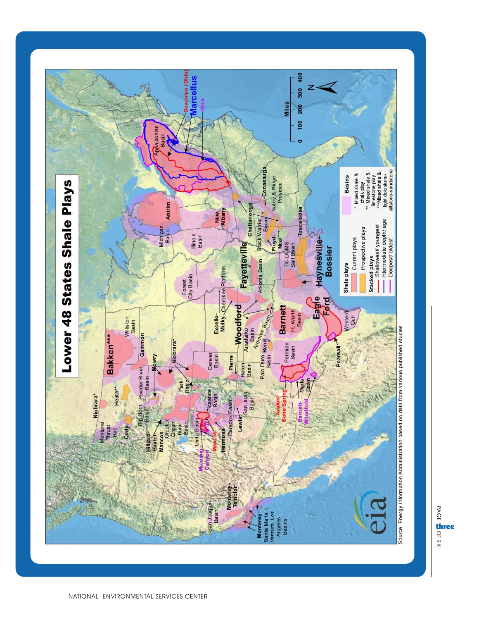

PAGE OFthree<br> $\frac{\cap}{\times}$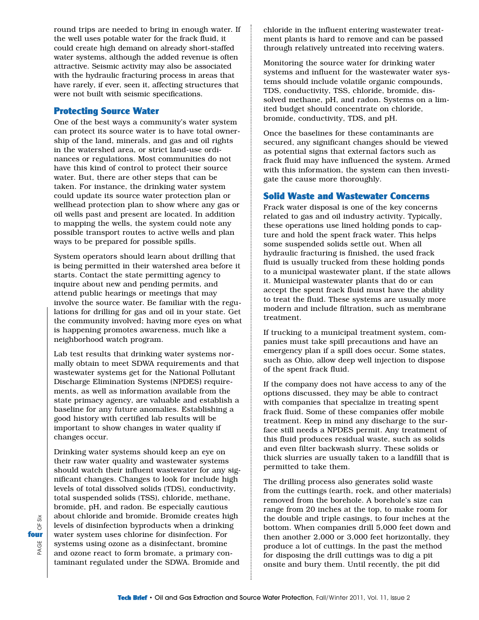round trips are needed to bring in enough water. If the well uses potable water for the frack fluid, it could create high demand on already short-staffed water systems, although the added revenue is often attractive. Seismic activity may also be associated with the hydraulic fracturing process in areas that have rarely, if ever, seen it, affecting structures that were not built with seismic specifications.

#### Protecting Source Water

One of the best ways a community's water system can protect its source water is to have total ownership of the land, minerals, and gas and oil rights in the watershed area, or strict land-use ordinances or regulations. Most communities do not have this kind of control to protect their source water. But, there are other steps that can be taken. For instance, the drinking water system could update its source water protection plan or wellhead protection plan to show where any gas or oil wells past and present are located. In addition to mapping the wells, the system could note any possible transport routes to active wells and plan ways to be prepared for possible spills.

System operators should learn about drilling that is being permitted in their watershed area before it starts. Contact the state permitting agency to inquire about new and pending permits, and attend public hearings or meetings that may involve the source water. Be familiar with the regulations for drilling for gas and oil in your state. Get the community involved; having more eyes on what is happening promotes awareness, much like a neighborhood watch program.

Lab test results that drinking water systems normally obtain to meet SDWA requirements and that wastewater systems get for the National Pollutant Discharge Elimination Systems (NPDES) requirements, as well as information available from the state primacy agency, are valuable and establish a baseline for any future anomalies. Establishing a good history with certified lab results will be important to show changes in water quality if changes occur.

Drinking water systems should keep an eye on their raw water quality and wastewater systems should watch their influent wastewater for any significant changes. Changes to look for include high levels of total dissolved solids (TDS), conductivity, total suspended solids (TSS), chloride, methane, bromide, pH, and radon. Be especially cautious about chloride and bromide. Bromide creates high levels of disinfection byproducts when a drinking water system uses chlorine for disinfection. For systems using ozone as a disinfectant, bromine and ozone react to form bromate, a primary contaminant regulated under the SDWA. Bromide and

chloride in the influent entering wastewater treatment plants is hard to remove and can be passed through relatively untreated into receiving waters.

Monitoring the source water for drinking water systems and influent for the wastewater water systems should include volatile organic compounds, TDS, conductivity, TSS, chloride, bromide, dissolved methane, pH, and radon. Systems on a limited budget should concentrate on chloride, bromide, conductivity, TDS, and pH.

Once the baselines for these contaminants are secured, any significant changes should be viewed as potential signs that external factors such as frack fluid may have influenced the system. Armed with this information, the system can then investigate the cause more thoroughly.

#### Solid Waste and Wastewater Concerns

Frack water disposal is one of the key concerns related to gas and oil industry activity. Typically, these operations use lined holding ponds to capture and hold the spent frack water. This helps some suspended solids settle out. When all hydraulic fracturing is finished, the used frack fluid is usually trucked from these holding ponds to a municipal wastewater plant, if the state allows it. Municipal wastewater plants that do or can accept the spent frack fluid must have the ability to treat the fluid. These systems are usually more modern and include filtration, such as membrane treatment.

If trucking to a municipal treatment system, companies must take spill precautions and have an emergency plan if a spill does occur. Some states, such as Ohio, allow deep well injection to dispose of the spent frack fluid.

If the company does not have access to any of the options discussed, they may be able to contract with companies that specialize in treating spent frack fluid. Some of these companies offer mobile treatment. Keep in mind any discharge to the surface still needs a NPDES permit. Any treatment of this fluid produces residual waste, such as solids and even filter backwash slurry. These solids or thick slurries are usually taken to a landfill that is permitted to take them.

The drilling process also generates solid waste from the cuttings (earth, rock, and other materials) removed from the borehole. A borehole's size can range from 20 inches at the top, to make room for the double and triple casings, to four inches at the bottom. When companies drill 5,000 feet down and then another 2,000 or 3,000 feet horizontally, they produce a lot of cuttings. In the past the method for disposing the drill cuttings was to dig a pit onsite and bury them. Until recently, the pit did

 $\frac{1}{20}$ PAGE OF Six  $\sigma$ fourPAGE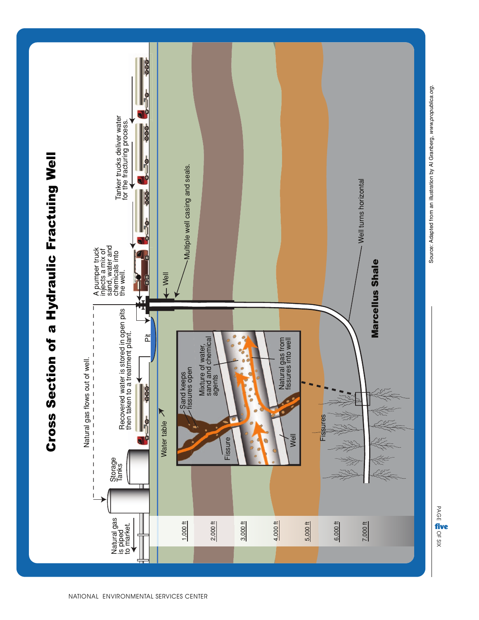